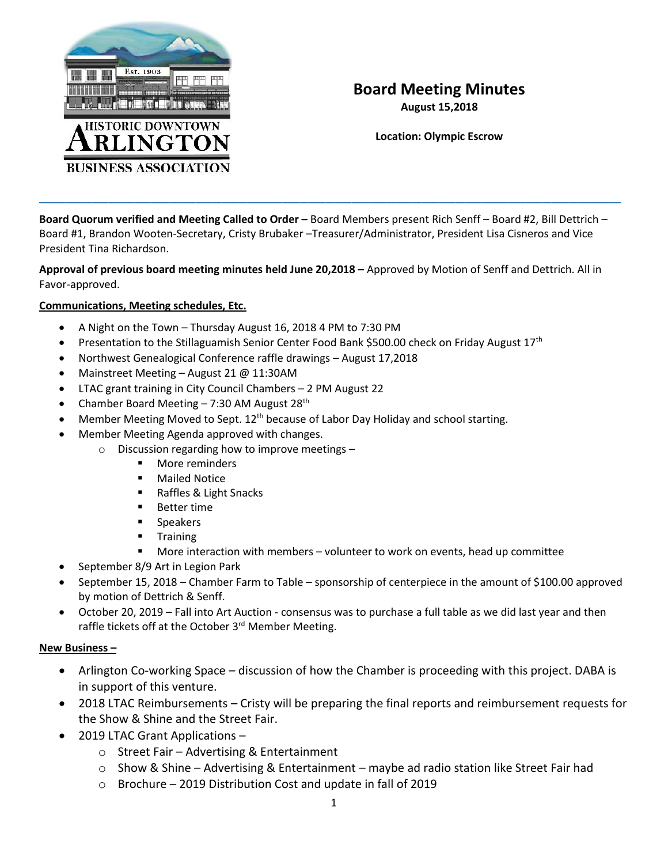

# **Board Meeting Minutes**

**August 15,2018**

**Location: Olympic Escrow**

**Board Quorum verified and Meeting Called to Order –** Board Members present Rich Senff – Board #2, Bill Dettrich – Board #1, Brandon Wooten-Secretary, Cristy Brubaker –Treasurer/Administrator, President Lisa Cisneros and Vice President Tina Richardson.

 $\overline{\phantom{a}}$  , and the contract of the contract of the contract of the contract of the contract of the contract of the contract of the contract of the contract of the contract of the contract of the contract of the contrac

**Approval of previous board meeting minutes held June 20,2018 –** Approved by Motion of Senff and Dettrich. All in Favor-approved.

#### **Communications, Meeting schedules, Etc.**

- A Night on the Town Thursday August 16, 2018 4 PM to 7:30 PM
- Presentation to the Stillaguamish Senior Center Food Bank \$500.00 check on Friday August 17<sup>th</sup>
- Northwest Genealogical Conference raffle drawings August 17,2018
- Mainstreet Meeting August 21 @ 11:30AM
- LTAC grant training in City Council Chambers 2 PM August 22
- Chamber Board Meeting  $7:30$  AM August 28<sup>th</sup>
- Member Meeting Moved to Sept.  $12<sup>th</sup>$  because of Labor Day Holiday and school starting.
- Member Meeting Agenda approved with changes.
	- o Discussion regarding how to improve meetings
		- More reminders
			- Mailed Notice
			- Raffles & Light Snacks
			- **Better time**
			- **■** Speakers
			- Training
			- More interaction with members volunteer to work on events, head up committee
- September 8/9 Art in Legion Park
- September 15, 2018 Chamber Farm to Table sponsorship of centerpiece in the amount of \$100.00 approved by motion of Dettrich & Senff.
- October 20, 2019 Fall into Art Auction consensus was to purchase a full table as we did last year and then raffle tickets off at the October 3<sup>rd</sup> Member Meeting.

#### **New Business –**

- Arlington Co-working Space discussion of how the Chamber is proceeding with this project. DABA is in support of this venture.
- 2018 LTAC Reimbursements Cristy will be preparing the final reports and reimbursement requests for the Show & Shine and the Street Fair.
- 2019 LTAC Grant Applications
	- o Street Fair Advertising & Entertainment
	- $\circ$  Show & Shine Advertising & Entertainment maybe ad radio station like Street Fair had
	- o Brochure 2019 Distribution Cost and update in fall of 2019